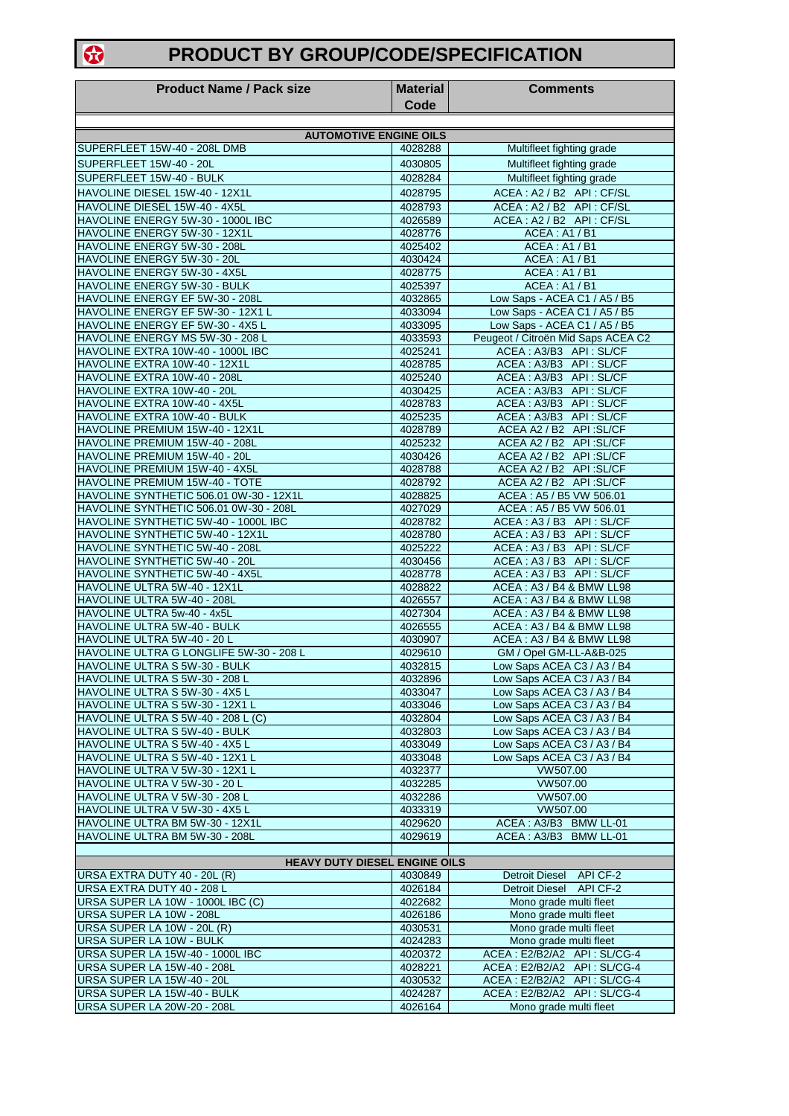## **PRODUCT BY GROUP/CODE/SPECIFICATION**

| <b>Product Name / Pack size</b>                                                   | <b>Material</b><br>Code | <b>Comments</b>                                                    |
|-----------------------------------------------------------------------------------|-------------------------|--------------------------------------------------------------------|
|                                                                                   |                         |                                                                    |
| <b>AUTOMOTIVE ENGINE OILS</b>                                                     |                         |                                                                    |
| SUPERFLEET 15W-40 - 208L DMB<br>SUPERFLEET 15W-40 - 20L                           | 4028288<br>4030805      | Multifleet fighting grade<br>Multifleet fighting grade             |
| SUPERFLEET 15W-40 - BULK                                                          | 4028284                 | Multifleet fighting grade                                          |
| HAVOLINE DIESEL 15W-40 - 12X1L                                                    | 4028795                 | ACEA: A2 / B2 API: CF/SL                                           |
| HAVOLINE DIESEL 15W-40 - 4X5L                                                     | 4028793                 | ACEA: A2 / B2 API: CF/SL                                           |
| HAVOLINE ENERGY 5W-30 - 1000L IBC                                                 | 4026589                 | ACEA: A2 / B2 API: CF/SL                                           |
| HAVOLINE ENERGY 5W-30 - 12X1L                                                     | 4028776                 | <b>ACEA: A1/B1</b>                                                 |
| HAVOLINE ENERGY 5W-30 - 208L<br>HAVOLINE ENERGY 5W-30 - 20L                       | 4025402<br>4030424      | <b>ACEA: A1/B1</b><br>ACEA: A1 / B1                                |
| HAVOLINE ENERGY 5W-30 - 4X5L                                                      | 4028775                 | <b>ACEA: A1/B1</b>                                                 |
| HAVOLINE ENERGY 5W-30 - BULK                                                      | 4025397                 | ACEA: A1/B1                                                        |
| HAVOLINE ENERGY EF 5W-30 - 208L                                                   | 4032865                 | Low Saps - ACEA C1 / A5 / B5                                       |
| HAVOLINE ENERGY EF 5W-30 - 12X1 L                                                 | 4033094                 | Low Saps - ACEA C1 / A5 / B5                                       |
| HAVOLINE ENERGY EF 5W-30 - 4X5 L<br>HAVOLINE ENERGY MS 5W-30 - 208 L              | 4033095<br>4033593      | Low Saps - ACEA C1 / A5 / B5<br>Peugeot / Citroën Mid Saps ACEA C2 |
| HAVOLINE EXTRA 10W-40 - 1000L IBC                                                 | 4025241                 | ACEA: A3/B3 API: SL/CF                                             |
| HAVOLINE EXTRA 10W-40 - 12X1L                                                     | 4028785                 | ACEA: A3/B3 API: SL/CF                                             |
| HAVOLINE EXTRA 10W-40 - 208L                                                      | 4025240                 | ACEA: A3/B3 API: SL/CF                                             |
| HAVOLINE EXTRA 10W-40 - 20L                                                       | 4030425                 | ACEA: A3/B3 API: SL/CF                                             |
| HAVOLINE EXTRA 10W-40 - 4X5L<br>HAVOLINE EXTRA 10W-40 - BULK                      | 4028783                 | ACEA: A3/B3 API: SL/CF<br>ACEA: A3/B3 API: SL/CF                   |
| HAVOLINE PREMIUM 15W-40 - 12X1L                                                   | 4025235<br>4028789      | ACEA A2 / B2 API:SL/CF                                             |
| HAVOLINE PREMIUM 15W-40 - 208L                                                    | 4025232                 | ACEA A2 / B2 API: SL/CF                                            |
| HAVOLINE PREMIUM 15W-40 - 20L                                                     | 4030426                 | ACEA A2 / B2 API:SL/CF                                             |
| HAVOLINE PREMIUM 15W-40 - 4X5L                                                    | 4028788                 | ACEA A2 / B2 API:SL/CF                                             |
| HAVOLINE PREMIUM 15W-40 - TOTE                                                    | 4028792                 | ACEA A2 / B2 API:SL/CF                                             |
| HAVOLINE SYNTHETIC 506.01 0W-30 - 12X1L<br>HAVOLINE SYNTHETIC 506.01 0W-30 - 208L | 4028825<br>4027029      | ACEA: A5 / B5 VW 506.01<br>ACEA: A5 / B5 VW 506.01                 |
| HAVOLINE SYNTHETIC 5W-40 - 1000L IBC                                              | 4028782                 | ACEA: A3 / B3 API: SL/CF                                           |
| HAVOLINE SYNTHETIC 5W-40 - 12X1L                                                  | 4028780                 | ACEA: A3 / B3 API: SL/CF                                           |
| HAVOLINE SYNTHETIC 5W-40 - 208L                                                   | 4025222                 | ACEA: A3 / B3 API: SL/CF                                           |
| HAVOLINE SYNTHETIC 5W-40 - 20L                                                    | 4030456                 | ACEA: A3 / B3 API: SL/CF                                           |
| HAVOLINE SYNTHETIC 5W-40 - 4X5L<br>HAVOLINE ULTRA 5W-40 - 12X1L                   | 4028778<br>4028822      | ACEA: A3 / B3 API: SL/CF<br>ACEA: A3 / B4 & BMW LL98               |
| HAVOLINE ULTRA 5W-40 - 208L                                                       | 4026557                 | ACEA: A3 / B4 & BMW LL98                                           |
| HAVOLINE ULTRA 5w-40 - 4x5L                                                       | 4027304                 | ACEA: A3 / B4 & BMW LL98                                           |
| HAVOLINE ULTRA 5W-40 - BULK                                                       | 4026555                 | ACEA: A3 / B4 & BMW LL98                                           |
| HAVOLINE ULTRA 5W-40 - 20 L                                                       | 4030907                 | ACEA: A3 / B4 & BMW LL98                                           |
| HAVOLINE ULTRA G LONGLIFE 5W-30 - 208 L<br>HAVOLINE ULTRA S 5W-30 - BULK          | 4029610<br>4032815      | GM / Opel GM-LL-A&B-025<br>Low Saps ACEA C3 / A3 / B4              |
| HAVOLINE ULTRA S 5W-30 - 208 L                                                    | 4032896                 | Low Saps ACEA C3 / A3 / B4                                         |
| HAVOLINE ULTRA S 5W-30 - 4X5 L                                                    | 4033047                 | Low Saps ACEA C3 / A3 / B4                                         |
| HAVOLINE ULTRA S 5W-30 - 12X1 L                                                   | 4033046                 | Low Saps ACEA C3 / A3 / B4                                         |
| HAVOLINE ULTRA S 5W-40 - 208 L (C)                                                | 4032804                 | Low Saps ACEA C3 / A3 / B4                                         |
| HAVOLINE ULTRA S 5W-40 - BULK<br>HAVOLINE ULTRA S 5W-40 - 4X5 L                   | 4032803<br>4033049      | Low Saps ACEA C3 / A3 / B4<br>Low Saps ACEA C3 / A3 / B4           |
| HAVOLINE ULTRA S 5W-40 - 12X1 L                                                   | 4033048                 | Low Saps ACEA C3 / A3 / B4                                         |
| HAVOLINE ULTRA V 5W-30 - 12X1 L                                                   | 4032377                 | VW507.00                                                           |
| HAVOLINE ULTRA V 5W-30 - 20 L                                                     | 4032285                 | VW507.00                                                           |
| HAVOLINE ULTRA V 5W-30 - 208 L                                                    | 4032286                 | VW507.00                                                           |
| HAVOLINE ULTRA V 5W-30 - 4X5 L                                                    | 4033319                 | VW507.00                                                           |
| HAVOLINE ULTRA BM 5W-30 - 12X1L<br>HAVOLINE ULTRA BM 5W-30 - 208L                 | 4029620<br>4029619      | ACEA: A3/B3 BMW LL-01<br>ACEA: A3/B3 BMW LL-01                     |
|                                                                                   |                         |                                                                    |
| <b>HEAVY DUTY DIESEL ENGINE OILS</b>                                              |                         |                                                                    |
| URSA EXTRA DUTY 40 - 20L (R)                                                      | 4030849                 | Detroit Diesel API CF-2                                            |
| URSA EXTRA DUTY 40 - 208 L<br>URSA SUPER LA 10W - 1000L IBC (C)                   | 4026184<br>4022682      | Detroit Diesel API CF-2<br>Mono grade multi fleet                  |
| URSA SUPER LA 10W - 208L                                                          | 4026186                 | Mono grade multi fleet                                             |
| URSA SUPER LA 10W - 20L (R)                                                       | 4030531                 | Mono grade multi fleet                                             |
| URSA SUPER LA 10W - BULK                                                          | 4024283                 | Mono grade multi fleet                                             |
| URSA SUPER LA 15W-40 - 1000L IBC                                                  | 4020372                 | ACEA: E2/B2/A2 API: SL/CG-4                                        |
| URSA SUPER LA 15W-40 - 208L                                                       | 4028221                 | ACEA: E2/B2/A2 API: SL/CG-4                                        |
| URSA SUPER LA 15W-40 - 20L<br>URSA SUPER LA 15W-40 - BULK                         | 4030532<br>4024287      | ACEA: E2/B2/A2 API: SL/CG-4<br>ACEA: E2/B2/A2 API: SL/CG-4         |
| <b>URSA SUPER LA 20W-20 - 208L</b>                                                | 4026164                 | Mono grade multi fleet                                             |

 $\bullet$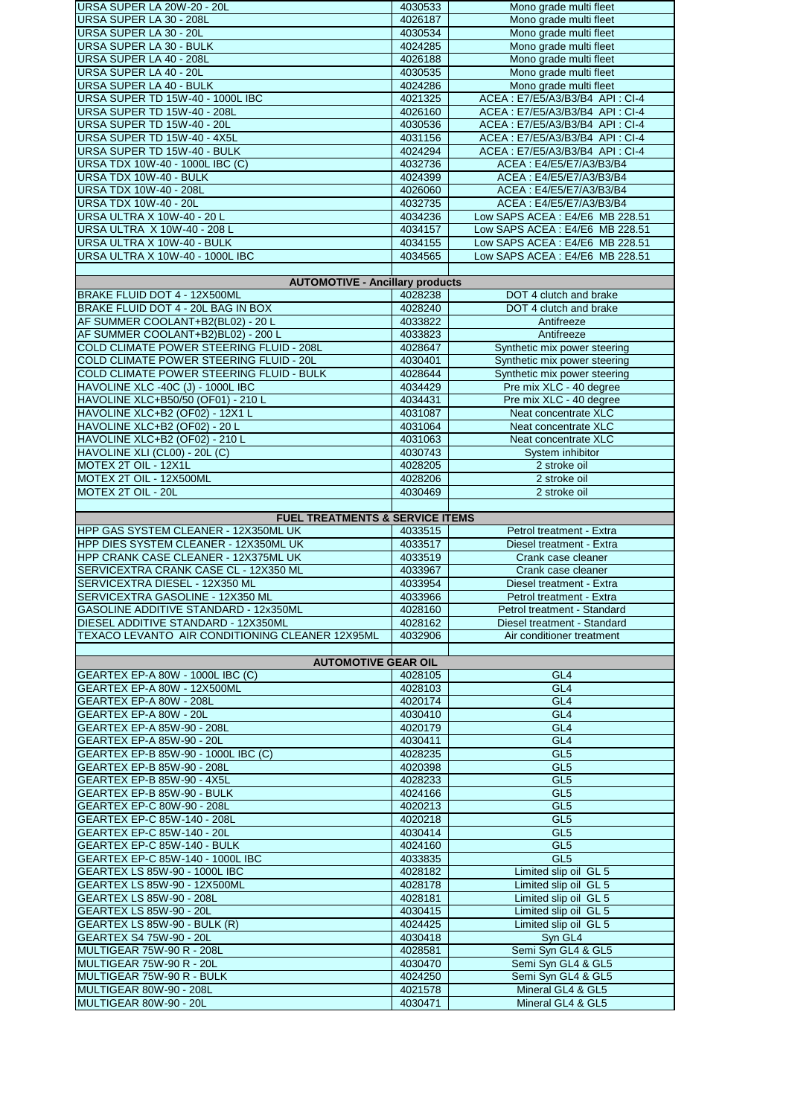| URSA SUPER LA 20W-20 - 20L                                                    | 4030533            | Mono grade multi fleet                                    |
|-------------------------------------------------------------------------------|--------------------|-----------------------------------------------------------|
| URSA SUPER LA 30 - 208L                                                       | 4026187            | Mono grade multi fleet                                    |
| URSA SUPER LA 30 - 20L                                                        | 4030534            | Mono grade multi fleet                                    |
| URSA SUPER LA 30 - BULK                                                       | 4024285            | Mono grade multi fleet                                    |
| URSA SUPER LA 40 - 208L                                                       | 4026188            | Mono grade multi fleet                                    |
| URSA SUPER LA 40 - 20L                                                        | 4030535            | Mono grade multi fleet                                    |
| <b>URSA SUPER LA 40 - BULK</b>                                                | 4024286            | Mono grade multi fleet                                    |
| URSA SUPER TD 15W-40 - 1000L IBC                                              | 4021325            | ACEA: E7/E5/A3/B3/B4 API: CI-4                            |
| URSA SUPER TD 15W-40 - 208L                                                   | 4026160            | ACEA: E7/E5/A3/B3/B4 API: CI-4                            |
| URSA SUPER TD 15W-40 - 20L                                                    | 4030536            | ACEA: E7/E5/A3/B3/B4 API: CI-4                            |
| URSA SUPER TD 15W-40 - 4X5L<br>URSA SUPER TD 15W-40 - BULK                    | 4031156            | ACEA: E7/E5/A3/B3/B4 API: CI-4                            |
|                                                                               | 4024294            | ACEA: E7/E5/A3/B3/B4 API: CI-4<br>ACEA: E4/E5/E7/A3/B3/B4 |
| URSA TDX 10W-40 - 1000L IBC (C)                                               | 4032736<br>4024399 | ACEA: E4/E5/E7/A3/B3/B4                                   |
| URSA TDX 10W-40 - BULK                                                        |                    |                                                           |
| <b>URSA TDX 10W-40 - 208L</b>                                                 | 4026060            | ACEA: E4/E5/E7/A3/B3/B4                                   |
| URSA TDX 10W-40 - 20L<br><b>URSA ULTRA X 10W-40 - 20 L</b>                    | 4032735<br>4034236 | ACEA: E4/E5/E7/A3/B3/B4<br>Low SAPS ACEA: E4/E6 MB 228.51 |
| URSA ULTRA X 10W-40 - 208 L                                                   | 4034157            | Low SAPS ACEA: E4/E6 MB 228.51                            |
| URSA ULTRA X 10W-40 - BULK                                                    | 4034155            | Low SAPS ACEA: E4/E6 MB 228.51                            |
| URSA ULTRA X 10W-40 - 1000L IBC                                               | 4034565            |                                                           |
|                                                                               |                    | Low SAPS ACEA: E4/E6 MB 228.51                            |
| <b>AUTOMOTIVE - Ancillary products</b>                                        |                    |                                                           |
| BRAKE FLUID DOT 4 - 12X500ML                                                  | 4028238            | DOT 4 clutch and brake                                    |
| BRAKE FLUID DOT 4 - 20L BAG IN BOX                                            | 4028240            | DOT 4 clutch and brake                                    |
| AF SUMMER COOLANT+B2(BL02) - 20 L                                             | 4033822            | Antifreeze                                                |
| AF SUMMER COOLANT+B2)BL02) - 200 L                                            | 4033823            | Antifreeze                                                |
| <b>COLD CLIMATE POWER STEERING FLUID - 208L</b>                               | 4028647            | Synthetic mix power steering                              |
| COLD CLIMATE POWER STEERING FLUID - 20L                                       | 4030401            | Synthetic mix power steering                              |
| COLD CLIMATE POWER STEERING FLUID - BULK                                      | 4028644            | Synthetic mix power steering                              |
| HAVOLINE XLC -40C (J) - 1000L IBC                                             | 4034429            | Pre mix XLC - 40 degree                                   |
| HAVOLINE XLC+B50/50 (OF01) - 210 L                                            | 4034431            | Pre mix XLC - 40 degree                                   |
| HAVOLINE XLC+B2 (OF02) - 12X1 L                                               | 4031087            | Neat concentrate XLC                                      |
| HAVOLINE XLC+B2 (OF02) - 20 L                                                 | 4031064            | Neat concentrate XLC                                      |
| HAVOLINE XLC+B2 (OF02) - 210 L                                                | 4031063            | Neat concentrate XLC                                      |
| HAVOLINE XLI (CL00) - 20L (C)                                                 | 4030743            | System inhibitor                                          |
| MOTEX 2T OIL - 12X1L                                                          | 4028205            | 2 stroke oil                                              |
| MOTEX 2T OIL - 12X500ML                                                       | 4028206            | 2 stroke oil                                              |
| MOTEX 2T OIL - 20L                                                            | 4030469            | 2 stroke oil                                              |
|                                                                               |                    |                                                           |
|                                                                               |                    |                                                           |
| <b>FUEL TREATMENTS &amp; SERVICE ITEMS</b>                                    |                    |                                                           |
|                                                                               | 4033515            | Petrol treatment - Extra                                  |
| HPP GAS SYSTEM CLEANER - 12X350ML UK<br>HPP DIES SYSTEM CLEANER - 12X350ML UK | 4033517            | Diesel treatment - Extra                                  |
| HPP CRANK CASE CLEANER - 12X375ML UK                                          | 4033519            | Crank case cleaner                                        |
| SERVICEXTRA CRANK CASE CL - 12X350 ML                                         | 4033967            | Crank case cleaner                                        |
| SERVICEXTRA DIESEL - 12X350 ML                                                | 4033954            | Diesel treatment - Extra                                  |
| SERVICEXTRA GASOLINE - 12X350 ML                                              | 4033966            |                                                           |
| GASOLINE ADDITIVE STANDARD - 12x350ML                                         | 4028160            | Petrol treatment - Extra<br>Petrol treatment - Standard   |
| DIESEL ADDITIVE STANDARD - 12X350ML                                           | 4028162            | Diesel treatment - Standard                               |
| TEXACO LEVANTO AIR CONDITIONING CLEANER 12X95ML                               | 4032906            | Air conditioner treatment                                 |
|                                                                               |                    |                                                           |
| <b>AUTOMOTIVE GEAR OIL</b>                                                    |                    |                                                           |
| GEARTEX EP-A 80W - 1000L IBC (C)                                              | 4028105            | GL <sub>4</sub>                                           |
| GEARTEX EP-A 80W - 12X500ML                                                   | 4028103            | GL <sub>4</sub>                                           |
| GEARTEX EP-A 80W - 208L                                                       | 4020174            | GL4                                                       |
| GEARTEX EP-A 80W - 20L                                                        | 4030410            | GL <sub>4</sub>                                           |
| <b>GEARTEX EP-A 85W-90 - 208L</b>                                             | 4020179            | GL <sub>4</sub>                                           |
| GEARTEX EP-A 85W-90 - 20L                                                     | 4030411            | GL4                                                       |
| GEARTEX EP-B 85W-90 - 1000L IBC (C)                                           | 4028235            | GL <sub>5</sub>                                           |
| GEARTEX EP-B 85W-90 - 208L                                                    | 4020398            | GL <sub>5</sub>                                           |
| GEARTEX EP-B 85W-90 - 4X5L                                                    | 4028233            | GL <sub>5</sub>                                           |
| GEARTEX EP-B 85W-90 - BULK                                                    | 4024166            | GL <sub>5</sub>                                           |
| GEARTEX EP-C 80W-90 - 208L                                                    | 4020213            | GL <sub>5</sub>                                           |
| GEARTEX EP-C 85W-140 - 208L                                                   | 4020218            | GL <sub>5</sub>                                           |
| GEARTEX EP-C 85W-140 - 20L                                                    | 4030414            | GL <sub>5</sub>                                           |
| GEARTEX EP-C 85W-140 - BULK                                                   | 4024160            | GL <sub>5</sub>                                           |
| GEARTEX EP-C 85W-140 - 1000L IBC                                              | 4033835            | GL <sub>5</sub>                                           |
| GEARTEX LS 85W-90 - 1000L IBC                                                 | 4028182            | Limited slip oil GL 5                                     |
| GEARTEX LS 85W-90 - 12X500ML                                                  | 4028178            | Limited slip oil GL 5                                     |
| GEARTEX LS 85W-90 - 208L                                                      | 4028181            | Limited slip oil GL 5                                     |
| <b>GEARTEX LS 85W-90 - 20L</b>                                                | 4030415            | Limited slip oil GL 5                                     |
| GEARTEX LS 85W-90 - BULK (R)                                                  | 4024425            | Limited slip oil GL 5                                     |
| GEARTEX S4 75W-90 - 20L                                                       | 4030418            | Syn GL4                                                   |
| MULTIGEAR 75W-90 R - 208L                                                     | 4028581            | Semi Syn GL4 & GL5                                        |
| MULTIGEAR 75W-90 R - 20L                                                      | 4030470            | Semi Syn GL4 & GL5                                        |
| MULTIGEAR 75W-90 R - BULK                                                     | 4024250            | Semi Syn GL4 & GL5                                        |
| MULTIGEAR 80W-90 - 208L<br>MULTIGEAR 80W-90 - 20L                             | 4021578<br>4030471 | Mineral GL4 & GL5<br>Mineral GL4 & GL5                    |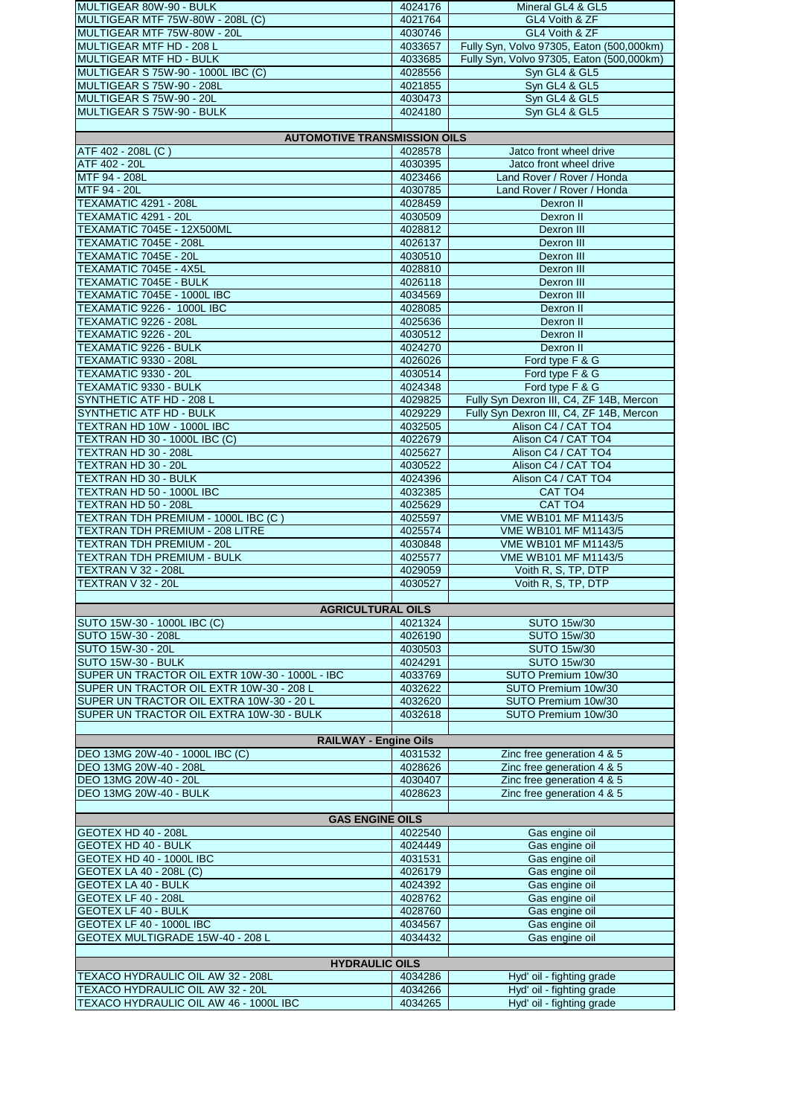| MULTIGEAR 80W-90 - BULK                        | 4024176 | Mineral GL4 & GL5                                      |
|------------------------------------------------|---------|--------------------------------------------------------|
| MULTIGEAR MTF 75W-80W - 208L (C)               | 4021764 | GL4 Voith & ZF                                         |
| MULTIGEAR MTF 75W-80W - 20L                    | 4030746 | GL4 Voith & ZF                                         |
| MULTIGEAR MTF HD - 208 L                       | 4033657 | Fully Syn, Volvo 97305, Eaton (500,000km)              |
| MULTIGEAR MTF HD - BULK                        | 4033685 | Fully Syn, Volvo 97305, Eaton (500,000km)              |
| MULTIGEAR S 75W-90 - 1000L IBC (C)             | 4028556 | Syn GL4 & GL5                                          |
| MULTIGEAR S 75W-90 - 208L                      | 4021855 | Syn GL4 & GL5                                          |
| MULTIGEAR S 75W-90 - 20L                       | 4030473 | Syn GL4 & GL5                                          |
| MULTIGEAR S 75W-90 - BULK                      | 4024180 | Syn GL4 & GL5                                          |
|                                                |         |                                                        |
| <b>AUTOMOTIVE TRANSMISSION OILS</b>            |         |                                                        |
| ATF 402 - 208L (C)                             | 4028578 | Jatco front wheel drive                                |
| ATF 402 - 20L                                  | 4030395 | Jatco front wheel drive                                |
| MTF 94 - 208L                                  | 4023466 | Land Rover / Rover / Honda                             |
| MTF 94 - 20L                                   | 4030785 | Land Rover / Rover / Honda                             |
| <b>TEXAMATIC 4291 - 208L</b>                   | 4028459 | Dexron II                                              |
| TEXAMATIC 4291 - 20L                           | 4030509 | Dexron II                                              |
| <b>TEXAMATIC 7045E - 12X500ML</b>              | 4028812 | Dexron III                                             |
| TEXAMATIC 7045E - 208L                         | 4026137 | Dexron III                                             |
| TEXAMATIC 7045E - 20L                          | 4030510 | Dexron III                                             |
| TEXAMATIC 7045E - 4X5L                         | 4028810 | Dexron III                                             |
| <b>TEXAMATIC 7045E - BULK</b>                  | 4026118 | Dexron III                                             |
| TEXAMATIC 7045E - 1000L IBC                    | 4034569 | Dexron III                                             |
| TEXAMATIC 9226 - 1000L IBC                     | 4028085 | Dexron II                                              |
| <b>TEXAMATIC 9226 - 208L</b>                   | 4025636 | Dexron II                                              |
| TEXAMATIC 9226 - 20L                           | 4030512 | Dexron II                                              |
| TEXAMATIC 9226 - BULK                          | 4024270 | Dexron II                                              |
| <b>TEXAMATIC 9330 - 208L</b>                   | 4026026 | Ford type F & G                                        |
| TEXAMATIC 9330 - 20L                           | 4030514 | Ford type F & G                                        |
| <b>TEXAMATIC 9330 - BULK</b>                   | 4024348 | Ford type F & G                                        |
| SYNTHETIC ATF HD - 208 L                       | 4029825 | Fully Syn Dexron III, C4, ZF 14B, Mercon               |
| SYNTHETIC ATF HD - BULK                        | 4029229 | Fully Syn Dexron III, C4, ZF 14B, Mercon               |
| TEXTRAN HD 10W - 1000L IBC                     | 4032505 | Alison C4 / CAT TO4                                    |
| TEXTRAN HD 30 - 1000L IBC (C)                  | 4022679 | Alison C4 / CAT TO4                                    |
| TEXTRAN HD 30 - 208L                           | 4025627 | Alison C4 / CAT TO4                                    |
|                                                |         |                                                        |
| TEXTRAN HD 30 - 20L<br>TEXTRAN HD 30 - BULK    | 4030522 | Alison C4 / CAT TO4<br>Alison C4 / CAT TO4             |
| TEXTRAN HD 50 - 1000L IBC                      | 4024396 |                                                        |
|                                                | 4032385 | CAT TO <sub>4</sub>                                    |
| TEXTRAN HD 50 - 208L                           | 4025629 | CAT TO4                                                |
| TEXTRAN TDH PREMIUM - 1000L IBC (C)            | 4025597 | VME WB101 MF M1143/5                                   |
| TEXTRAN TDH PREMIUM - 208 LITRE                | 4025574 | VME WB101 MF M1143/5                                   |
| <b>TEXTRAN TDH PREMIUM - 20L</b>               | 4030848 | VME WB101 MF M1143/5                                   |
| <b>TEXTRAN TDH PREMIUM - BULK</b>              | 4025577 | VME WB101 MF M1143/5                                   |
| <b>TEXTRAN V 32 - 208L</b>                     | 4029059 | Voith R, S, TP, DTP                                    |
| TEXTRAN V 32 - 20L                             | 4030527 | Voith R, S, TP, DTP                                    |
|                                                |         |                                                        |
| <b>AGRICULTURAL OILS</b>                       |         |                                                        |
| SUTO 15W-30 - 1000L IBC (C)                    | 4021324 | <b>SUTO 15w/30</b>                                     |
| SUTO 15W-30 - 208L                             | 4026190 | <b>SUTO 15w/30</b>                                     |
| SUTO 15W-30 - 20L                              | 4030503 | <b>SUTO 15w/30</b>                                     |
| SUTO 15W-30 - BULK                             | 4024291 | <b>SUTO 15w/30</b>                                     |
| SUPER UN TRACTOR OIL EXTR 10W-30 - 1000L - IBC | 4033769 | SUTO Premium 10w/30                                    |
| SUPER UN TRACTOR OIL EXTR 10W-30 - 208 L       | 4032622 | SUTO Premium 10w/30                                    |
| SUPER UN TRACTOR OIL EXTRA 10W-30 - 20 L       | 4032620 | SUTO Premium 10w/30                                    |
| SUPER UN TRACTOR OIL EXTRA 10W-30 - BULK       | 4032618 | SUTO Premium 10w/30                                    |
|                                                |         |                                                        |
| <b>RAILWAY - Engine Oils</b>                   |         |                                                        |
| DEO 13MG 20W-40 - 1000L IBC (C)                | 4031532 | Zinc free generation 4 & 5                             |
| DEO 13MG 20W-40 - 208L                         | 4028626 | Zinc free generation 4 & 5                             |
| DEO 13MG 20W-40 - 20L                          | 4030407 | Zinc free generation 4 & 5                             |
| DEO 13MG 20W-40 - BULK                         | 4028623 | Zinc free generation 4 & 5                             |
|                                                |         |                                                        |
| <b>GAS ENGINE OILS</b>                         |         |                                                        |
| GEOTEX HD 40 - 208L                            | 4022540 | Gas engine oil                                         |
| <b>GEOTEX HD 40 - BULK</b>                     | 4024449 | Gas engine oil                                         |
| GEOTEX HD 40 - 1000L IBC                       | 4031531 | Gas engine oil                                         |
| <b>GEOTEX LA 40 - 208L (C)</b>                 | 4026179 | Gas engine oil                                         |
| <b>GEOTEX LA 40 - BULK</b>                     | 4024392 | Gas engine oil                                         |
| GEOTEX LF 40 - 208L                            | 4028762 | Gas engine oil                                         |
| <b>GEOTEX LF 40 - BULK</b>                     | 4028760 | Gas engine oil                                         |
| GEOTEX LF 40 - 1000L IBC                       | 4034567 | Gas engine oil                                         |
| GEOTEX MULTIGRADE 15W-40 - 208 L               | 4034432 | Gas engine oil                                         |
|                                                |         |                                                        |
| <b>HYDRAULIC OILS</b>                          |         |                                                        |
| TEXACO HYDRAULIC OIL AW 32 - 208L              |         |                                                        |
|                                                | 4034286 |                                                        |
| TEXACO HYDRAULIC OIL AW 32 - 20L               | 4034266 | Hyd' oil - fighting grade<br>Hyd' oil - fighting grade |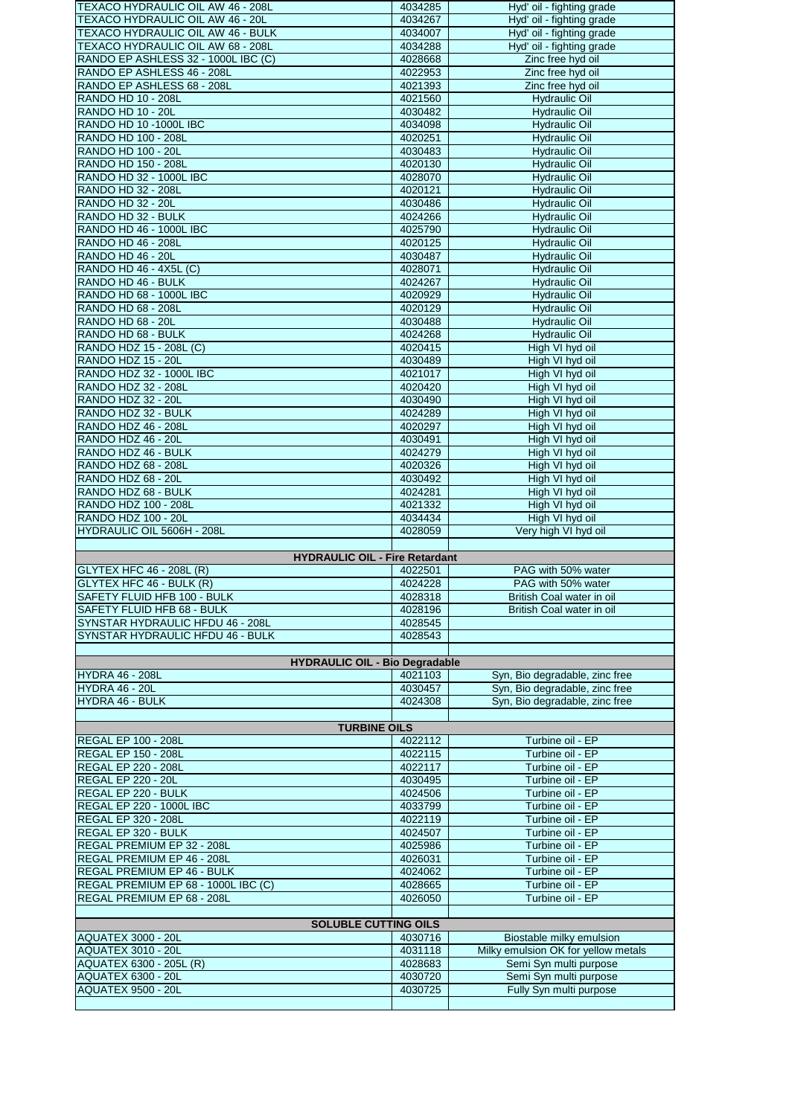| TEXACO HYDRAULIC OIL AW 46 - 208L                                        | 4034285            | Hyd' oil - fighting grade                                        |
|--------------------------------------------------------------------------|--------------------|------------------------------------------------------------------|
| TEXACO HYDRAULIC OIL AW 46 - 20L                                         | 4034267            | Hyd' oil - fighting grade                                        |
| TEXACO HYDRAULIC OIL AW 46 - BULK                                        | 4034007            | Hyd' oil - fighting grade                                        |
| TEXACO HYDRAULIC OIL AW 68 - 208L                                        | 4034288            | Hyd' oil - fighting grade                                        |
| RANDO EP ASHLESS 32 - 1000L IBC (C)<br>RANDO EP ASHLESS 46 - 208L        | 4028668<br>4022953 | Zinc free hyd oil<br>Zinc free hyd oil                           |
| RANDO EP ASHLESS 68 - 208L                                               | 4021393            | Zinc free hyd oil                                                |
| <b>RANDO HD 10 - 208L</b>                                                | 4021560            | <b>Hydraulic Oil</b>                                             |
| RANDO HD 10 - 20L                                                        | 4030482            | <b>Hydraulic Oil</b>                                             |
| RANDO HD 10 -1000L IBC                                                   | 4034098            | <b>Hydraulic Oil</b>                                             |
| RANDO HD 100 - 208L                                                      | 4020251            | <b>Hydraulic Oil</b>                                             |
| RANDO HD 100 - 20L                                                       | 4030483            | <b>Hydraulic Oil</b>                                             |
| RANDO HD 150 - 208L                                                      | 4020130            | <b>Hydraulic Oil</b>                                             |
| RANDO HD 32 - 1000L IBC                                                  | 4028070            | <b>Hydraulic Oil</b>                                             |
| RANDO HD 32 - 208L                                                       | 4020121            | <b>Hydraulic Oil</b>                                             |
| RANDO HD 32 - 20L                                                        | 4030486            | <b>Hydraulic Oil</b>                                             |
| RANDO HD 32 - BULK<br>RANDO HD 46 - 1000L IBC                            | 4024266<br>4025790 | <b>Hydraulic Oil</b><br><b>Hydraulic Oil</b>                     |
| <b>RANDO HD 46 - 208L</b>                                                | 4020125            | <b>Hydraulic Oil</b>                                             |
| RANDO HD 46 - 20L                                                        | 4030487            | <b>Hydraulic Oil</b>                                             |
| RANDO HD 46 - 4X5L (C)                                                   | 4028071            | <b>Hydraulic Oil</b>                                             |
| RANDO HD 46 - BULK                                                       | 4024267            | <b>Hydraulic Oil</b>                                             |
| RANDO HD 68 - 1000L IBC                                                  | 4020929            | <b>Hydraulic Oil</b>                                             |
| RANDO HD 68 - 208L                                                       | 4020129            | <b>Hydraulic Oil</b>                                             |
| <b>RANDO HD 68 - 20L</b>                                                 | 4030488            | <b>Hydraulic Oil</b>                                             |
| RANDO HD 68 - BULK                                                       | 4024268            | <b>Hydraulic Oil</b>                                             |
| RANDO HDZ 15 - 208L (C)                                                  | 4020415            | High VI hyd oil                                                  |
| RANDO HDZ 15 - 20L<br>RANDO HDZ 32 - 1000L IBC                           | 4030489<br>4021017 | High VI hvd oil<br>High VI hyd oil                               |
| <b>RANDO HDZ 32 - 208L</b>                                               | 4020420            | High VI hyd oil                                                  |
| RANDO HDZ 32 - 20L                                                       | 4030490            | High VI hyd oil                                                  |
| RANDO HDZ 32 - BULK                                                      | 4024289            | High VI hyd oil                                                  |
| <b>RANDO HDZ 46 - 208L</b>                                               | 4020297            | High VI hyd oil                                                  |
| RANDO HDZ 46 - 20L                                                       | 4030491            | High VI hyd oil                                                  |
| RANDO HDZ 46 - BULK                                                      | 4024279            | High VI hyd oil                                                  |
| RANDO HDZ 68 - 208L                                                      | 4020326            | High VI hyd oil                                                  |
| RANDO HDZ 68 - 20L                                                       | 4030492            | High VI hyd oil                                                  |
| RANDO HDZ 68 - BULK                                                      | 4024281            | High VI hyd oil                                                  |
| RANDO HDZ 100 - 208L                                                     | 4021332            | High VI hyd oil                                                  |
|                                                                          |                    |                                                                  |
| RANDO HDZ 100 - 20L                                                      | 4034434            | High VI hyd oil                                                  |
| HYDRAULIC OIL 5606H - 208L                                               | 4028059            | Very high VI hyd oil                                             |
|                                                                          |                    |                                                                  |
| <b>HYDRAULIC OIL - Fire Retardant</b><br><b>GLYTEX HFC 46 - 208L (R)</b> | 4022501            | PAG with 50% water                                               |
| GLYTEX HFC 46 - BULK (R)                                                 | 4024228            | PAG with 50% water                                               |
| SAFETY FLUID HFB 100 - BULK                                              | 4028318            | British Coal water in oil                                        |
| SAFETY FLUID HFB 68 - BULK                                               | 4028196            | British Coal water in oil                                        |
| SYNSTAR HYDRAULIC HFDU 46 - 208L                                         | 4028545            |                                                                  |
| SYNSTAR HYDRAULIC HFDU 46 - BULK                                         | 4028543            |                                                                  |
|                                                                          |                    |                                                                  |
| <b>HYDRAULIC OIL - Bio Degradable</b>                                    |                    |                                                                  |
| <b>HYDRA 46 - 208L</b><br><b>HYDRA 46 - 20L</b>                          | 4021103<br>4030457 | Syn, Bio degradable, zinc free<br>Syn, Bio degradable, zinc free |
| <b>HYDRA 46 - BULK</b>                                                   | 4024308            | Syn, Bio degradable, zinc free                                   |
|                                                                          |                    |                                                                  |
| <b>TURBINE OILS</b>                                                      |                    |                                                                  |
| <b>REGAL EP 100 - 208L</b>                                               | 4022112            | Turbine oil - EP                                                 |
| <b>REGAL EP 150 - 208L</b>                                               | 4022115            | Turbine oil - EP                                                 |
| <b>REGAL EP 220 - 208L</b>                                               | 4022117            | Turbine oil - EP                                                 |
| <b>REGAL EP 220 - 20L</b>                                                | 4030495            | Turbine oil - EP                                                 |
| REGAL EP 220 - BULK                                                      | 4024506<br>4033799 | Turbine oil - EP<br>Turbine oil - EP                             |
| <b>REGAL EP 220 - 1000L IBC</b><br><b>REGAL EP 320 - 208L</b>            | 4022119            | Turbine oil - EP                                                 |
| REGAL EP 320 - BULK                                                      | 4024507            | Turbine oil - EP                                                 |
| REGAL PREMIUM EP 32 - 208L                                               | 4025986            | Turbine oil - EP                                                 |
| REGAL PREMIUM EP 46 - 208L                                               | 4026031            | Turbine oil - EP                                                 |
| <b>REGAL PREMIUM EP 46 - BULK</b>                                        | 4024062            | Turbine oil - EP                                                 |
| REGAL PREMIUM EP 68 - 1000L IBC (C)                                      | 4028665            | Turbine oil - EP                                                 |
| REGAL PREMIUM EP 68 - 208L                                               | 4026050            | Turbine oil - EP                                                 |
|                                                                          |                    |                                                                  |
| <b>SOLUBLE CUTTING OILS</b><br><b>AQUATEX 3000 - 20L</b>                 | 4030716            |                                                                  |
| <b>AQUATEX 3010 - 20L</b>                                                | 4031118            | Biostable milky emulsion<br>Milky emulsion OK for yellow metals  |
| AQUATEX 6300 - 205L (R)                                                  | 4028683            | Semi Syn multi purpose                                           |
| <b>AQUATEX 6300 - 20L</b>                                                | 4030720            | Semi Syn multi purpose                                           |
| <b>AQUATEX 9500 - 20L</b>                                                | 4030725            | Fully Syn multi purpose                                          |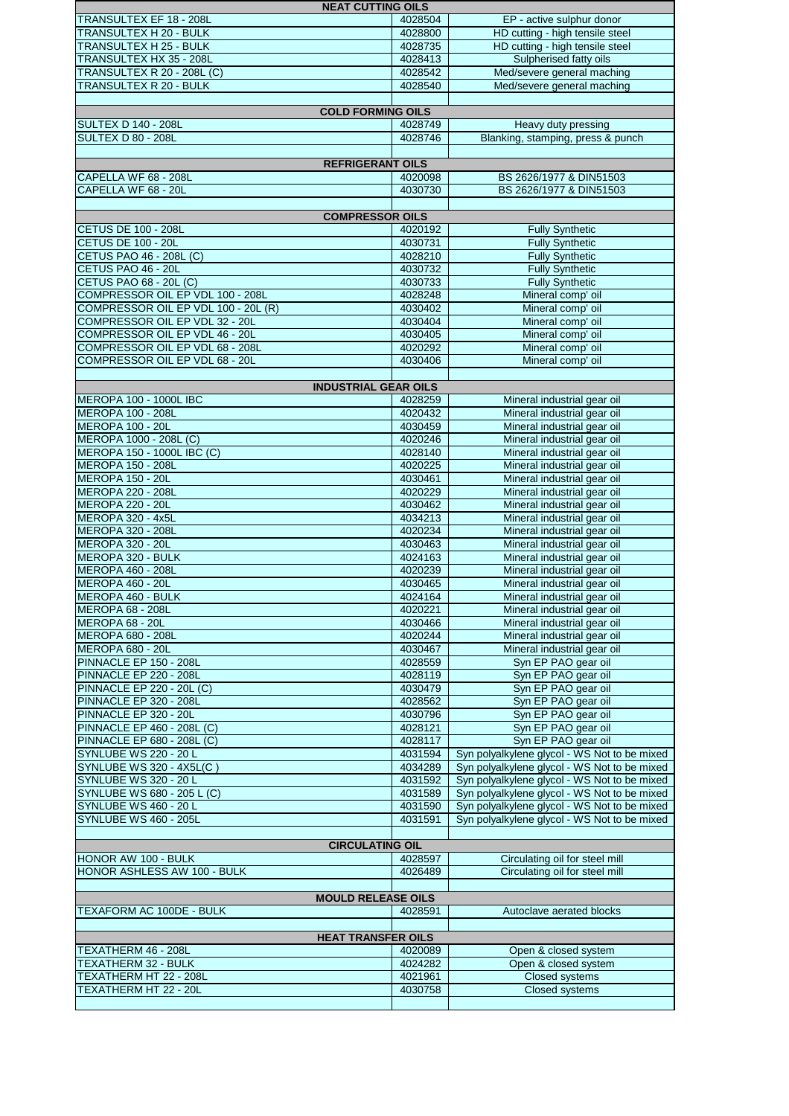| <b>NEAT CUTTING OILS</b>                                          |                    |                                                            |
|-------------------------------------------------------------------|--------------------|------------------------------------------------------------|
| TRANSULTEX EF 18 - 208L                                           | 4028504            | EP - active sulphur donor                                  |
| TRANSULTEX H 20 - BULK                                            | 4028800            | HD cutting - high tensile steel                            |
| TRANSULTEX H 25 - BULK                                            | 4028735            | HD cutting - high tensile steel                            |
| TRANSULTEX HX 35 - 208L                                           | 4028413            | Sulpherised fatty oils                                     |
| TRANSULTEX R 20 - 208L (C)                                        | 4028542            | Med/severe general maching                                 |
| TRANSULTEX R 20 - BULK                                            | 4028540            | Med/severe general maching                                 |
| <b>COLD FORMING OILS</b>                                          |                    |                                                            |
| <b>SULTEX D 140 - 208L</b>                                        | 4028749            | Heavy duty pressing                                        |
| SULTEX D 80 - 208L                                                | 4028746            | Blanking, stamping, press & punch                          |
|                                                                   |                    |                                                            |
| <b>REFRIGERANT OILS</b>                                           |                    |                                                            |
| CAPELLA WF 68 - 208L                                              | 4020098            | BS 2626/1977 & DIN51503                                    |
| CAPELLA WF 68 - 20L                                               | 4030730            | BS 2626/1977 & DIN51503                                    |
|                                                                   |                    |                                                            |
| <b>COMPRESSOR OILS</b>                                            |                    |                                                            |
| <b>CETUS DE 100 - 208L</b>                                        | 4020192            | <b>Fully Synthetic</b>                                     |
| <b>CETUS DE 100 - 20L</b>                                         | 4030731            | <b>Fully Synthetic</b>                                     |
| <b>CETUS PAO 46 - 208L (C)</b>                                    | 4028210            | <b>Fully Synthetic</b>                                     |
| CETUS PAO 46 - 20L                                                | 4030732            | <b>Fully Synthetic</b><br><b>Fully Synthetic</b>           |
| <b>CETUS PAO 68 - 20L (C)</b><br>COMPRESSOR OIL EP VDL 100 - 208L | 4030733<br>4028248 | Mineral comp' oil                                          |
| COMPRESSOR OIL EP VDL 100 - 20L (R)                               | 4030402            | Mineral comp' oil                                          |
| COMPRESSOR OIL EP VDL 32 - 20L                                    | 4030404            | Mineral comp' oil                                          |
| COMPRESSOR OIL EP VDL 46 - 20L                                    | 4030405            | Mineral comp' oil                                          |
| COMPRESSOR OIL EP VDL 68 - 208L                                   | 4020292            | Mineral comp' oil                                          |
| COMPRESSOR OIL EP VDL 68 - 20L                                    | 4030406            | Mineral comp' oil                                          |
|                                                                   |                    |                                                            |
| <b>INDUSTRIAL GEAR OILS</b>                                       |                    |                                                            |
| MEROPA 100 - 1000L IBC                                            | 4028259            | Mineral industrial gear oil                                |
| <b>MEROPA 100 - 208L</b>                                          | 4020432            | Mineral industrial gear oil                                |
| <b>MEROPA 100 - 20L</b>                                           | 4030459            | Mineral industrial gear oil                                |
| MEROPA 1000 - 208L (C)                                            | 4020246            | Mineral industrial gear oil                                |
| MEROPA 150 - 1000L IBC (C)                                        | 4028140            | Mineral industrial gear oil                                |
| <b>MEROPA 150 - 208L</b>                                          | 4020225            | Mineral industrial gear oil                                |
| <b>MEROPA 150 - 20L</b>                                           | 4030461            | Mineral industrial gear oil                                |
| <b>MEROPA 220 - 208L</b>                                          | 4020229            | Mineral industrial gear oil                                |
| <b>MEROPA 220 - 20L</b><br><b>MEROPA 320 - 4x5L</b>               | 4030462<br>4034213 | Mineral industrial gear oil<br>Mineral industrial gear oil |
| <b>MEROPA 320 - 208L</b>                                          | 4020234            | Mineral industrial gear oil                                |
| <b>MEROPA 320 - 20L</b>                                           | 4030463            | Mineral industrial gear oil                                |
| <b>MEROPA 320 - BULK</b>                                          | 4024163            | Mineral industrial gear oil                                |
| <b>MEROPA 460 - 208L</b>                                          | 4020239            | Mineral industrial gear oil                                |
| <b>MEROPA 460 - 20L</b>                                           | 4030465            | Mineral industrial gear oil                                |
| MEROPA 460 - BULK                                                 | 4024164            | Mineral industrial gear oil                                |
| <b>MEROPA 68 - 208L</b>                                           | 4020221            | Mineral industrial gear oil                                |
| MEROPA 68 - 20L                                                   | 4030466            | Mineral industrial gear oil                                |
| <b>MEROPA 680 - 208L</b>                                          | 4020244            | Mineral industrial gear oil                                |
| <b>MEROPA 680 - 20L</b>                                           | 4030467            | Mineral industrial gear oil                                |
| PINNACLE EP 150 - 208L                                            | 4028559            | Syn EP PAO gear oil                                        |
| PINNACLE EP 220 - 208L                                            | 4028119            | Syn EP PAO gear oil                                        |
| <b>PINNACLE EP 220 - 20L (C)</b>                                  | 4030479            | Syn EP PAO gear oil                                        |
| PINNACLE EP 320 - 208L<br>PINNACLE EP 320 - 20L                   | 4028562<br>4030796 | Syn EP PAO gear oil<br>Syn EP PAO gear oil                 |
| <b>PINNACLE EP 460 - 208L (C)</b>                                 | 4028121            | Syn EP PAO gear oil                                        |
| <b>PINNACLE EP 680 - 208L (C)</b>                                 | 4028117            | Syn EP PAO gear oil                                        |
| SYNLUBE WS 220 - 20 L                                             | 4031594            | Syn polyalkylene glycol - WS Not to be mixed               |
| SYNLUBE WS 320 - 4X5L(C)                                          | 4034289            | Syn polyalkylene glycol - WS Not to be mixed               |
| <b>SYNLUBE WS 320 - 20 L</b>                                      | 4031592            | Syn polyalkylene glycol - WS Not to be mixed               |
| SYNLUBE WS 680 - 205 L (C)                                        | 4031589            | Syn polyalkylene glycol - WS Not to be mixed               |
| SYNLUBE WS 460 - 20 L                                             | 4031590            | Syn polyalkylene glycol - WS Not to be mixed               |
| SYNLUBE WS 460 - 205L                                             | 4031591            | Syn polyalkylene glycol - WS Not to be mixed               |
|                                                                   |                    |                                                            |
| <b>CIRCULATING OIL</b>                                            |                    |                                                            |
| HONOR AW 100 - BULK                                               | 4028597            | Circulating oil for steel mill                             |
| HONOR ASHLESS AW 100 - BULK                                       | 4026489            | Circulating oil for steel mill                             |
|                                                                   |                    |                                                            |
| <b>MOULD RELEASE OILS</b>                                         |                    |                                                            |
| TEXAFORM AC 100DE - BULK                                          | 4028591            | Autoclave aerated blocks                                   |
| <b>HEAT TRANSFER OILS</b>                                         |                    |                                                            |
| TEXATHERM 46 - 208L                                               | 4020089            | Open & closed system                                       |
| TEXATHERM 32 - BULK                                               | 4024282            | Open & closed system                                       |
| TEXATHERM HT 22 - 208L                                            | 4021961            | <b>Closed systems</b>                                      |
| TEXATHERM HT 22 - 20L                                             | 4030758            | <b>Closed systems</b>                                      |
|                                                                   |                    |                                                            |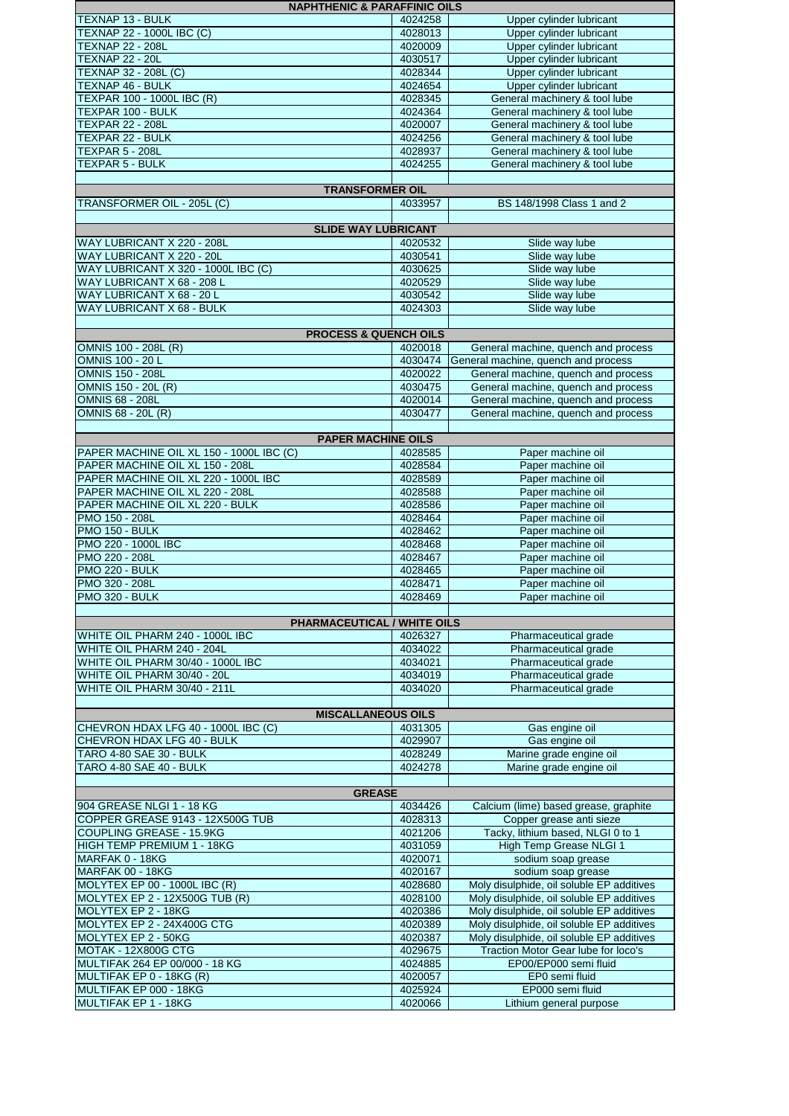| <b>NAPHTHENIC &amp; PARAFFINIC OILS</b>            |                    |                                                                            |
|----------------------------------------------------|--------------------|----------------------------------------------------------------------------|
| TEXNAP 13 - BULK                                   | 4024258            | Upper cylinder lubricant                                                   |
| TEXNAP 22 - 1000L IBC (C)                          | 4028013            | Upper cylinder lubricant                                                   |
| <b>TEXNAP 22 - 208L</b>                            | 4020009            | Upper cylinder lubricant                                                   |
| <b>TEXNAP 22 - 20L</b>                             | 4030517            | Upper cylinder lubricant                                                   |
| <b>TEXNAP 32 - 208L (C)</b>                        | 4028344            | Upper cylinder lubricant                                                   |
| <b>TEXNAP 46 - BULK</b>                            | 4024654            | Upper cylinder lubricant                                                   |
| TEXPAR 100 - 1000L IBC (R)<br>TEXPAR 100 - BULK    | 4028345<br>4024364 | General machinery & tool lube<br>General machinery & tool lube             |
| <b>TEXPAR 22 - 208L</b>                            | 4020007            | General machinery & tool lube                                              |
| TEXPAR 22 - BULK                                   | 4024256            | General machinery & tool lube                                              |
| TEXPAR 5 - 208L                                    | 4028937            | General machinery & tool lube                                              |
| TEXPAR 5 - BULK                                    | 4024255            | General machinery & tool lube                                              |
|                                                    |                    |                                                                            |
| <b>TRANSFORMER OIL</b>                             |                    |                                                                            |
| TRANSFORMER OIL - 205L (C)                         | 4033957            | BS 148/1998 Class 1 and 2                                                  |
|                                                    |                    |                                                                            |
| <b>SLIDE WAY LUBRICANT</b>                         |                    |                                                                            |
| WAY LUBRICANT X 220 - 208L                         | 4020532            | Slide way lube                                                             |
| WAY LUBRICANT X 220 - 20L                          | 4030541            | Slide way lube                                                             |
| WAY LUBRICANT X 320 - 1000L IBC (C)                | 4030625            | Slide way lube                                                             |
| WAY LUBRICANT X 68 - 208 L                         | 4020529            | Slide way lube                                                             |
| WAY LUBRICANT X 68 - 20 L                          | 4030542            | Slide way lube                                                             |
| WAY LUBRICANT X 68 - BULK                          | 4024303            | Slide way lube                                                             |
|                                                    |                    |                                                                            |
| <b>PROCESS &amp; QUENCH OILS</b>                   | 4020018            |                                                                            |
| OMNIS 100 - 208L (R)                               | 4030474            | General machine, quench and process                                        |
| OMNIS 100 - 20 L<br><b>OMNIS 150 - 208L</b>        | 4020022            | General machine, quench and process<br>General machine, quench and process |
| <b>OMNIS 150 - 20L (R)</b>                         | 4030475            | General machine, quench and process                                        |
| <b>OMNIS 68 - 208L</b>                             | 4020014            | General machine, quench and process                                        |
| OMNIS 68 - 20L (R)                                 | 4030477            | General machine, quench and process                                        |
|                                                    |                    |                                                                            |
| <b>PAPER MACHINE OILS</b>                          |                    |                                                                            |
| PAPER MACHINE OIL XL 150 - 1000L IBC (C)           | 4028585            | Paper machine oil                                                          |
| PAPER MACHINE OIL XL 150 - 208L                    | 4028584            | Paper machine oil                                                          |
| PAPER MACHINE OIL XL 220 - 1000L IBC               | 4028589            | Paper machine oil                                                          |
| PAPER MACHINE OIL XL 220 - 208L                    | 4028588            | Paper machine oil                                                          |
| PAPER MACHINE OIL XL 220 - BULK                    | 4028586            | Paper machine oil                                                          |
| PMO 150 - 208L                                     | 4028464            | Paper machine oil                                                          |
| PMO 150 - BULK                                     | 4028462            | Paper machine oil                                                          |
| PMO 220 - 1000L IBC                                | 4028468            | Paper machine oil                                                          |
| PMO 220 - 208L                                     | 4028467            | Paper machine oil                                                          |
| PMO 220 - BULK                                     | 4028465            | Paper machine oil                                                          |
| PMO 320 - 208L                                     | 4028471            | Paper machine oil                                                          |
| PMO 320 - BULK                                     | 4028469            | Paper machine oil                                                          |
| PHARMACEUTICAL / WHITE OILS                        |                    |                                                                            |
| WHITE OIL PHARM 240 - 1000L IBC                    | 4026327            | Pharmaceutical grade                                                       |
| WHITE OIL PHARM 240 - 204L                         | 4034022            | Pharmaceutical grade                                                       |
| WHITE OIL PHARM 30/40 - 1000L IBC                  | 4034021            | Pharmaceutical grade                                                       |
| WHITE OIL PHARM 30/40 - 20L                        | 4034019            | Pharmaceutical grade                                                       |
| WHITE OIL PHARM 30/40 - 211L                       | 4034020            | Pharmaceutical grade                                                       |
|                                                    |                    |                                                                            |
| <b>MISCALLANEOUS OILS</b>                          |                    |                                                                            |
| CHEVRON HDAX LFG 40 - 1000L IBC (C)                | 4031305            | Gas engine oil                                                             |
| CHEVRON HDAX LFG 40 - BULK                         | 4029907            | Gas engine oil                                                             |
| TARO 4-80 SAE 30 - BULK<br>TARO 4-80 SAE 40 - BULK | 4028249<br>4024278 | Marine grade engine oil<br>Marine grade engine oil                         |
|                                                    |                    |                                                                            |
| <b>GREASE</b>                                      |                    |                                                                            |
| 904 GREASE NLGI 1 - 18 KG                          | 4034426            | Calcium (lime) based grease, graphite                                      |
| COPPER GREASE 9143 - 12X500G TUB                   | 4028313            | Copper grease anti sieze                                                   |
| COUPLING GREASE - 15.9KG                           | 4021206            | Tacky, lithium based, NLGI 0 to 1                                          |
| HIGH TEMP PREMIUM 1 - 18KG                         | 4031059            | High Temp Grease NLGI 1                                                    |
| MARFAK 0 - 18KG                                    | 4020071            | sodium soap grease                                                         |
| MARFAK 00 - 18KG                                   | 4020167            | sodium soap grease                                                         |
| MOLYTEX EP 00 - 1000L IBC (R)                      | 4028680            | Moly disulphide, oil soluble EP additives                                  |
| <b>MOLYTEX EP 2 - 12X500G TUB (R)</b>              | 4028100            | Moly disulphide, oil soluble EP additives                                  |
| MOLYTEX EP 2 - 18KG                                | 4020386            | Moly disulphide, oil soluble EP additives                                  |
| MOLYTEX EP 2 - 24X400G CTG                         | 4020389            | Moly disulphide, oil soluble EP additives                                  |
| MOLYTEX EP 2 - 50KG                                | 4020387            | Moly disulphide, oil soluble EP additives                                  |
| <b>MOTAK - 12X800G CTG</b>                         | 4029675            | Traction Motor Gear lube for loco's                                        |
| MULTIFAK 264 EP 00/000 - 18 KG                     | 4024885            | EP00/EP000 semi fluid                                                      |
| MULTIFAK EP 0 - 18KG (R)<br>MULTIFAK EP 000 - 18KG | 4020057<br>4025924 | EP0 semi fluid<br>EP000 semi fluid                                         |
| MULTIFAK EP 1 - 18KG                               | 4020066            | Lithium general purpose                                                    |
|                                                    |                    |                                                                            |